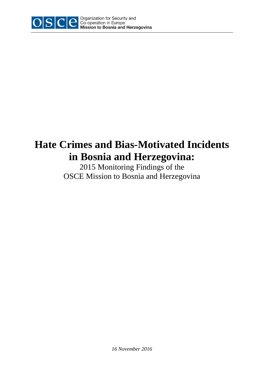

# **Hate Crimes and Bias-Motivated Incidents in Bosnia and Herzegovina:**

2015 Monitoring Findings of the OSCE Mission to Bosnia and Herzegovina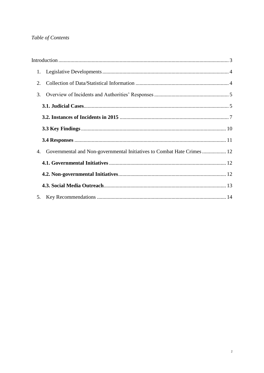# Table of Contents

| 1.                                                                           |  |
|------------------------------------------------------------------------------|--|
| 2.                                                                           |  |
| 3.                                                                           |  |
|                                                                              |  |
|                                                                              |  |
|                                                                              |  |
|                                                                              |  |
| Governmental and Non-governmental Initiatives to Combat Hate Crimes 12<br>4. |  |
|                                                                              |  |
|                                                                              |  |
|                                                                              |  |
| 5.                                                                           |  |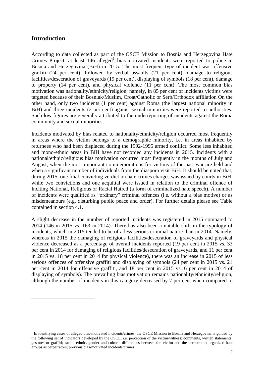# <span id="page-2-0"></span>**Introduction**

 $\overline{a}$ 

According to data collected as part of the OSCE Mission to Bosnia and Herzegovina Hate Crimes Project, at least  $146$  alleged<sup>1</sup> bias-motivated incidents were reported to police in Bosnia and Herzegovina (BiH) in 2015. The most frequent type of incident was offensive graffiti (24 per cent), followed by verbal assaults (21 per cent), damage to religious facilities/desecration of graveyards (19 per cent), displaying of symbols (18 per cent), damage to property (14 per cent), and physical violence (11 per cent). The most common bias motivation was nationality/ethnicity/religion; namely, in 85 per cent of incidents victims were targeted because of their Bosniak/Muslim, Croat/Catholic or Serb/Orthodox affiliation On the other hand, only two incidents (1 per cent) against Roma (the largest national minority in BiH) and three incidents (2 per cent) against sexual minorities were reported to authorities. Such low figures are generally attributed to the underreporting of incidents against the Roma community and sexual minorities.

Incidents motivated by bias related to nationality/ethnicity/religion occurred most frequently in areas where the victim belongs to a demographic minority, i.e. in areas inhabited by returnees who had been displaced during the 1992-1995 armed conflict. Some less inhabited and mono-ethnic areas in BiH have not recorded any incidents in 2015. Incidents with a national/ethnic/religious bias motivation occurred most frequently in the months of July and August, when the most important commemorations for victims of the past war are held and when a significant number of individuals from the diaspora visit BiH. It should be noted that, during 2015, one final convicting verdict on hate crimes charges was issued by courts in BiH, while two convictions and one acquittal were issued in relation to the criminal offence of Inciting National, Religious or Racial Hatred (a form of criminalized hate speech). A number of incidents were qualified as "ordinary" criminal offences (i.e. without a bias motive) or as misdemeanours (e.g. disturbing public peace and order). For further details please see Table contained in section 4.1.

A slight decrease in the number of reported incidents was registered in 2015 compared to 2014 (146 in 2015 vs. 163 in 2014). There has also been a notable shift in the typology of incidents, which in 2015 tended to be of a less serious criminal nature than in 2014. Namely, whereas in 2015 the damaging of religious facilities/desecration of graveyards and physical violence decreased as a percentage of overall incidents reported (19 per cent in 2015 vs. 33 per cent in 2014 for damaging of religious facilities/desecration of graveyards, and 11 per cent in 2015 vs. 18 per cent in 2014 for physical violence), there was an increase in 2015 of less serious offences of offensive graffiti and displaying of symbols (24 per cent in 2015 vs. 21 per cent in 2014 for offensive graffiti, and 18 per cent in 2015 vs. 6 per cent in 2014 of displaying of symbols). The prevailing bias motivation remains nationality/ethnicity/religion, although the number of incidents in this category decreased by 7 per cent when compared to

<sup>&</sup>lt;sup>1</sup> In identifying cases of alleged bias-motivated incidents/crimes, the OSCE Mission to Bosnia and Herzegovina is guided by the following set of indicators developed by the OSCE, i.e. perception of the victim/witness; comments, written statements, gestures or graffiti; racial, ethnic, gender and cultural differences between the victim and the perpetrator; organized hate groups as perpetrators; previous bias-motivated incidents/crimes.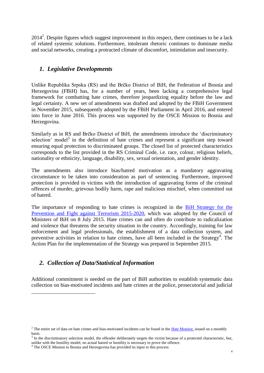$2014<sup>2</sup>$ . Despite figures which suggest improvement in this respect, there continues to be a lack of related systemic solutions. Furthermore, intolerant rhetoric continues to dominate media and social networks, creating a protracted climate of discomfort, intimidation and insecurity.

# <span id="page-3-0"></span>*1. Legislative Developments*

Unlike Republika Srpska (RS) and the Brčko District of BiH, the Federation of Bosnia and Herzegovina (FBiH) has, for a number of years, been lacking a comprehensive legal framework for combatting hate crimes, therefore jeopardizing equality before the law and legal certainty. A new set of amendments was drafted and adopted by the FBiH Government in November 2015, subsequently adopted by the FBiH Parliament in April 2016, and entered into force in June 2016. This process was supported by the OSCE Mission to Bosnia and Herzegovina.

Similarly as in RS and Brčko District of BiH, the amendments introduce the 'discriminatory selection' model<sup>3</sup> in the definition of hate crimes and represent a significant step toward ensuring equal protection to discriminated groups. The closed list of protected characteristics corresponds to the list provided in the RS Criminal Code, i.e. race, colour, religious beliefs, nationality or ethnicity, language, disability, sex, sexual orientation, and gender identity.

The amendments also introduce bias/hatred motivation as a mandatory aggravating circumstance to be taken into consideration as part of sentencing. Furthermore, improved protection is provided to victims with the introduction of aggravating forms of the criminal offences of murder, grievous bodily harm, rape and malicious mischief, when committed out of hatred.

The importance of responding to hate crimes is recognized in the [BiH Strategy for the](http://msb.gov.ba/PDF/STRATEGIJA_ZA_BORBU_PROTIV_TERORIZMA_ENG.pdf)  Prevention and Fight against [Terrorism 2015-2020,](http://msb.gov.ba/PDF/STRATEGIJA_ZA_BORBU_PROTIV_TERORIZMA_ENG.pdf) which was adopted by the Council of Ministers of BiH on 8 July 2015. Hate crimes can and often do contribute to radicalization and violence that threatens the security situation in the country. Accordingly, training for law enforcement and legal professionals, the establishment of a data collection system, and preventive activities in relation to hate crimes, have all been included in the Strategy<sup>4</sup>. The Action Plan for the implementation of the Strategy was prepared in September 2015.

# <span id="page-3-1"></span>*2. Collection of Data/Statistical Information*

 $\overline{a}$ 

Additional commitment is needed on the part of BiH authorities to establish systematic data collection on bias-motivated incidents and hate crimes at the police, prosecutorial and judicial

<sup>&</sup>lt;sup>2</sup> The entire set of data on hate crimes and bias-motivated incidents can be found in the <u>Hate Monitor</u>, issued on a monthly basis.

 $3$  In the discriminatory selection model, the offender deliberately targets the victim because of a protected characteristic, but, unlike with the hostility model, no actual hatred or hostility is necessary to prove the offence.

<sup>&</sup>lt;sup>4</sup> The OSCE Mission to Bosnia and Herzegovina has provided its input to this process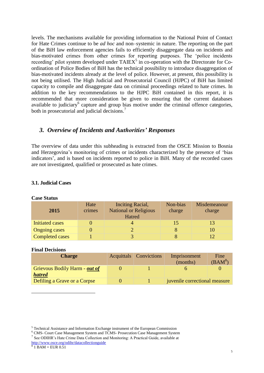levels. The mechanisms available for providing information to the National Point of Contact for Hate Crimes continue to be *ad hoc* and non–systemic in nature. The reporting on the part of the BiH law enforcement agencies fails to efficiently disaggregate data on incidents and bias-motivated crimes from other crimes for reporting purposes. The 'police incidents recording' pilot system developed under  $TAIEX<sup>5</sup>$  in co-operation with the Directorate for Coordination of Police Bodies of BiH has the technical possibility to introduce disaggregation of bias-motivated incidents already at the level of police. However, at present, this possibility is not being utilised. The High Judicial and Prosecutorial Council (HJPC) of BiH has limited capacity to compile and disaggregate data on criminal proceedings related to hate crimes. In addition to the key recommendations to the HJPC BiH contained in this report, it is recommended that more consideration be given to ensuring that the current databases available to judiciary<sup>6</sup> capture and group bias motive under the criminal offence categories, both in prosecutorial and judicial decisions.<sup>7</sup>

# <span id="page-4-0"></span>*3. Overview of Incidents and Authorities' Responses*

The overview of data under this subheading is extracted from the OSCE Mission to Bosnia and Herzegovina's monitoring of crimes or incidents characterized by the presence of 'bias indicators', and is based on incidents reported to police in BiH. Many of the recorded cases are not investigated, qualified or prosecuted as hate crimes.

#### <span id="page-4-1"></span>**3.1. Judicial Cases**

**Case Status**

| 2015                   | Hate<br>crimes | Inciting Racial,<br><b>National or Religious</b><br>Hatred | Non-bias<br>charge | Misdemeanour<br>charge |
|------------------------|----------------|------------------------------------------------------------|--------------------|------------------------|
| <b>Initiated cases</b> |                |                                                            |                    |                        |
| <b>Ongoing cases</b>   |                |                                                            |                    |                        |
| <b>Completed cases</b> |                |                                                            |                    |                        |

#### **Final Decisions**

| <b>Charge</b>                                  | Acquittals Convictions | Imprisonment<br>(months)      | Fine<br>(BAM $^{8}$ |
|------------------------------------------------|------------------------|-------------------------------|---------------------|
| Grievous Bodily Harm - out of<br><b>hatred</b> |                        |                               |                     |
| Defiling a Grave or a Corpse                   |                        | juvenile correctional measure |                     |

<sup>5</sup> Technical Assistance and Information Exchange instrument of the European Commission

<sup>6</sup> CMS- Court Case Management System and TCMS- Prosecution Case Management System

<sup>&</sup>lt;sup>7</sup> See ODIHR's Hate Crime Data Collection and Monitoring: A Practical Guide, available at

<http://www.osce.org/odihr/datacollectionguide>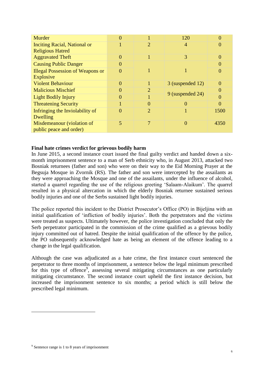| Murder                                  |          |   | 120               | 0                |
|-----------------------------------------|----------|---|-------------------|------------------|
| <b>Inciting Racial, National or</b>     |          | 2 | 4                 | 0                |
| <b>Religious Hatred</b>                 |          |   |                   |                  |
| <b>Aggravated Theft</b>                 | 0        |   | 3                 | $\theta$         |
| <b>Causing Public Danger</b>            |          |   |                   | $\left( \right)$ |
| <b>Illegal Possession of Weapons or</b> | $\left($ |   |                   | 0                |
| <b>Explosive</b>                        |          |   |                   |                  |
| <b>Violent Behaviour</b>                | 0        |   | 3 (suspended 12)  | $\Omega$         |
| <b>Malicious Mischief</b>               |          | 2 |                   | $\Omega$         |
| <b>Light Bodily Injury</b>              |          |   | 9 (suspended 24)  | 0                |
| <b>Threatening Security</b>             |          | 0 |                   | 0                |
| Infringing the Inviolability of         |          | 2 |                   | 1500             |
| Dwelling                                |          |   |                   |                  |
| Misdemeanour (violation of              | 5        | 7 | $\mathbf{\Omega}$ | 4350             |
| public peace and order)                 |          |   |                   |                  |

#### **Final hate crimes verdict for grievous bodily harm**

In June 2015, a second instance court issued the final guilty verdict and handed down a sixmonth imprisonment sentence to a man of Serb ethnicity who, in August 2013, attacked two Bosniak returnees (father and son) who were on their way to the Eid Morning Prayer at the Begsuja Mosque in Zvornik (RS). The father and son were intercepted by the assailants as they were approaching the Mosque and one of the assailants, under the influence of alcohol, started a quarrel regarding the use of the religious greeting 'Salaam-Alaikum'. The quarrel resulted in a physical altercation in which the elderly Bosniak returnee sustained serious bodily injuries and one of the Serbs sustained light bodily injuries.

The police reported this incident to the District Prosecutor's Office (PO) in Bijeljina with an initial qualification of 'infliction of bodily injuries'. Both the perpetrators and the victims were treated as suspects. Ultimately however, the police investigation concluded that only the Serb perpetrator participated in the commission of the crime qualified as a grievous bodily injury committed out of hatred. Despite the initial qualification of the offence by the police, the PO subsequently acknowledged hate as being an element of the offence leading to a change in the legal qualification.

Although the case was adjudicated as a hate crime, the first instance court sentenced the perpetrator to three months of imprisonment, a sentence below the legal minimum prescribed for this type of offence<sup>9</sup>, assessing several mitigating circumstances as one particularly mitigating circumstance. The second instance court upheld the first instance decision, but increased the imprisonment sentence to six months; a period which is still below the prescribed legal minimum.

<sup>&</sup>lt;sup>9</sup> Sentence range is 1 to 8 years of imprisonment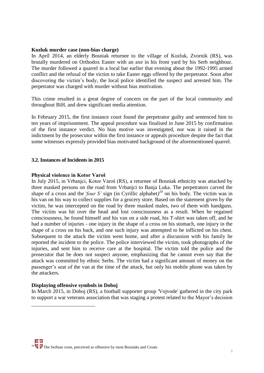#### **Kozluk murder case (non-bias charge)**

In April 2014, an elderly Bosniak returnee to the village of Kozluk, Zvornik (RS), was brutally murdered on Orthodox Easter with an axe in his front yard by his Serb neighbour. The murder followed a quarrel in a local bar earlier that evening about the 1992-1995 armed conflict and the refusal of the victim to take Easter eggs offered by the perpetrator. Soon after discovering the victim's body, the local police identified the suspect and arrested him. The perpetrator was charged with murder without bias motivation.

This crime resulted in a great degree of concern on the part of the local community and throughout BiH, and drew significant media attention.

In February 2015, the first instance court found the perpetrator guilty and sentenced him to ten years of imprisonment. The appeal procedure was finalised in June 2015 by confirmation of the first instance verdict. No bias motive was investigated, nor was it raised in the indictment by the prosecutor within the first instance or appeals procedure despite the fact that some witnesses expressly provided bias motivated background of the aforementioned quarrel.

#### <span id="page-6-0"></span>**3.2. Instances of Incidents in 2015**

#### **Physical violence in Kotor Varoš**

In July 2015, in Vrbanjci, Kotor Varoš (RS), a returnee of Bosniak ethnicity was attacked by three masked persons on the road from Vrbanjci to Banja Luka. The perpetrators carved the shape of a cross and the *'four S'* sign (in Cyrillic alphabet)<sup> $10$ </sup> on his body. The victim was in his van on his way to collect supplies for a grocery store. Based on the statement given by the victim, he was intercepted on the road by three masked males, two of them with handguns. The victim was hit over the head and lost consciousness as a result. When he regained consciousness, he found himself and his van on a side road, his T-shirt was taken off, and he had a number of injuries - one injury in the shape of a cross on his stomach, one injury in the shape of a cross on his back, and one such injury was attempted to be inflicted on his chest. Subsequent to the attack the victim went home, and after a discussion with his family he reported the incident to the police. The police interviewed the victim, took photographs of the injuries, and sent him to receive care at the hospital. The victim told the police and the prosecutor that he does not suspect anyone, emphasizing that he cannot even say that the attack was committed by ethnic Serbs. The victim had a significant amount of money on the passenger's seat of the van at the time of the attack, but only his mobile phone was taken by the attackers.

#### **Displaying offensive symbols in Doboj**

 $\overline{a}$ 

In March 2015, in Doboj (RS), a football supporter group 'Vojvode' gathered in the city park to support a war veterans association that was staging a protest related to the Mayor's decision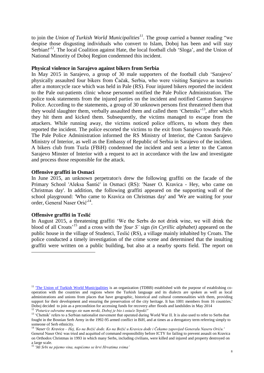to join the *Union of Turkish World Municipalities<sup>11</sup>*. The group carried a banner reading "we despise those disgusting individuals who convert to Islam, Doboj has been and will stay Serbian!<sup>12</sup>. The local Coalition against Hate, the local football club 'Sloga', and the Union of National Minority of Doboj Region condemned this incident.

#### **Physical violence in Sarajevo against bikers from Serbia**

In May 2015 in Sarajevo, a group of 30 male supporters of the football club 'Sarajevo' physically assaulted four bikers from Čačak, Serbia, who were visiting Sarajevo as tourists after a motorcycle race which was held in Pale (RS). Four injured bikers reported the incident to the Pale out-patients clinic whose personnel notified the Pale Police Administration. The police took statements from the injured parties on the incident and notified Canton Sarajevo Police. According to the statements, a group of 30 unknown persons first threatened them that they would slaughter them, verbally assaulted them and called them 'Chetniks'<sup>13</sup>, after which they hit them and kicked them. Subsequently, the victims managed to escape from the attackers. While running away, the victims noticed police officers, to whom they then reported the incident. The police escorted the victims to the exit from Sarajevo towards Pale. The Pale Police Administration informed the RS Ministry of Interior, the Canton Sarajevo Ministry of Interior, as well as the Embassy of Republic of Serbia in Sarajevo of the incident. A bikers club from Tuzla (FBiH) condemned the incident and sent a letter to the Canton Sarajevo Minster of Interior with a request to act in accordance with the law and investigate and process those responsible for the attack.

#### **Offensive graffiti in Osmaci**

In June 2015, an unknown perpetrator/s drew the following graffiti on the facade of the Primary School 'Aleksa Šantić' in Osmaci (RS): 'Naser O. Kravica - Hey, who came on Christmas day'. In addition, the following graffiti appeared on the supporting wall of the school playground: 'Who came to Kravica on Christmas day' and 'We are waiting for your order, General Naser Orić'<sup>14</sup>.

#### **Offensive graffiti in Teslić**

 $\overline{a}$ 

In August 2015, a threatening graffiti 'We the Serbs do not drink wine, we will drink the blood of all Croats'<sup>15</sup> and a cross with the '*four S'* sign *(in Cyrillic alphabet)* appeared on the public house in the village of Studenci, Teslić (RS), a village mainly inhabited by Croats. The police conducted a timely investigation of the crime scene and determined that the insulting graffiti were written on a public building, but also at a nearby sports field. The report on

<sup>&</sup>lt;sup>11</sup> The Union of Turkish World Municipalities is an organization (TDBB) established with the purpose of establishing cooperation with the countries and regions where the Turkish language and its dialects are spoken as well as local administrations and unions from places that have geographic, historical and cultural commonalities with them, providing support for their development and ensuring the preservation of the city heritage. It has 1001 members from 16 countries.' Doboj decided to join as a precondition for accessing funds for recovery after floods and landslides in May 2014 <sup>12</sup> *'Poturice odvratne mnogo ste nam mrski, Doboj je bio i ostaće Srpski!'*

<sup>&</sup>lt;sup>13</sup> 'Chetnik' refers to a Serbian nationalist movement that operated during World War II. It is also used to refer to Serbs that fought in the Bosnian Serb Army in the 1992-95 armed conflict in BiH, and at times as a derogatory term referring simply to someone of Serb ethnicity.

<sup>14</sup> *'Naser O. Kravica – Hej, Ko na Božić dođe. Ko na Božić u Kravicu dođe i Čekamo zapovijed Generalu Naseru Oriću.'* General Naser Orić was tried and acquitted of command responsibility before ICTY for failing to prevent assault on Kravica on Orthodox Christmas in 1993 in which many Serbs, including civilians, were killed and injured and property destroyed on a large scale.

<sup>15</sup> *'Mi Srbi ne pijemo vina, napićemo se krvi Hrvatima svima'*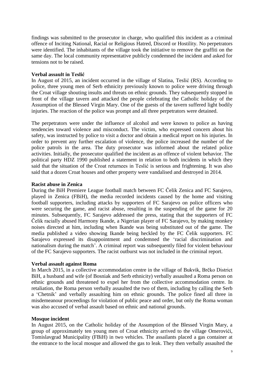findings was submitted to the prosecutor in charge, who qualified this incident as a criminal offence of Inciting National, Racial or Religious Hatred, Discord or Hostility. No perpetrators were identified. The inhabitants of the village took the initiative to remove the graffiti on the same day. The local community representative publicly condemned the incident and asked for tensions not to be raised.

#### **Verbal assault in Teslić**

In August of 2015, an incident occurred in the village of Slatina, Teslić (RS). According to police, three young men of Serb ethnicity previously known to police were driving through the Croat village shouting insults and threats on ethnic grounds. They subsequently stopped in front of the village tavern and attacked the people celebrating the Catholic holiday of the Assumption of the Blessed Virgin Mary. One of the guests of the tavern suffered light bodily injuries. The reaction of the police was prompt and all three perpetrators were detained.

The perpetrators were under the influence of alcohol and were known to police as having tendencies toward violence and misconduct. The victim, who expressed concern about his safety, was instructed by police to visit a doctor and obtain a medical report on his injuries. In order to prevent any further escalation of violence, the police increased the number of the police patrols in the area. The duty prosecutor was informed about the related police activities. Initially, the prosecutor qualified the incident as an offence of violent behavior. The political party HDZ 1990 published a statement in relation to both incidents in which they said that the situation of the Croat returnees in Teslić is serious and frightening. It was also said that a dozen Croat houses and other property were vandalised and destroyed in 2014.

#### **Racist abuse in Zenica**

During the BiH Premiere League football match between FC Čelik Zenica and FC Sarajevo, played in Zenica (FBiH), the media recorded incidents caused by the home and visiting football supporters, including attacks by supporters of FC Sarajevo on police officers who were securing the game, and racist abuse, resulting in the suspending of the game for 20 minutes. Subsequently, FC Sarajevo addressed the press, stating that the supporters of FC Čelik racially abused Harmony Ikande, a Nigerian player of FC Sarajevo, by making monkey noises directed at him, including when Ikande was being substituted out of the game. The media published a video showing Ikande being heckled by the FC Čelik supporters. FC Sarajevo expressed its disappointment and condemned the 'racial discrimination and nationalism during the match'. A criminal report was subsequently filed for violent behaviour of the FC Sarajevo supporters. The racist outburst was not included in the criminal report.

#### **Verbal assault against Roma**

In March 2015, in a collective accommodation centre in the village of Bukvik, Brčko District BiH, a husband and wife (of Bosniak and Serb ethnicity) verbally assaulted a Roma person on ethnic grounds and threatened to expel her from the collective accommodation centre. In retaliation, the Roma person verbally assaulted the two of them, including by calling the Serb a 'Chetnik' and verbally assaulting him on ethnic grounds. The police fined all three in misdemeanour proceedings for violation of public peace and order, but only the Roma woman was also accused of verbal assault based on ethnic and national grounds.

#### **Mosque incident**

In August 2015, on the Catholic holiday of the Assumption of the Blessed Virgin Mary, a group of approximately ten young men of Croat ethnicity arrived to the village Omerovići, Tomislavgrad Municipality (FBiH) in two vehicles. The assailants placed a gas container at the entrance to the local mosque and allowed the gas to leak. They then verbally assaulted the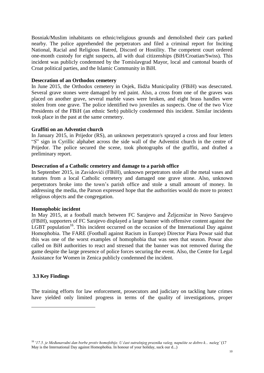Bosniak/Muslim inhabitants on ethnic/religious grounds and demolished their cars parked nearby. The police apprehended the perpetrators and filed a criminal report for Inciting National, Racial and Religious Hatred, Discord or Hostility. The competent court ordered one-month custody for eight suspects, all with dual citizenships (BiH/Croatian/Swiss). This incident was publicly condemned by the Tomislavgrad Mayor, local and cantonal boards of Croat political parties, and the Islamic Community in BiH.

#### **Desecration of an Orthodox cemetery**

In June 2015, the Orthodox cemetery in Osjek, Ilidža Municipality (FBiH) was desecrated. Several grave stones were damaged by red paint. Also, a cross from one of the graves was placed on another grave, several marble vases were broken, and eight brass handles were stolen from one grave. The police identified two juveniles as suspects. One of the two Vice Presidents of the FBiH (an ethnic Serb) publicly condemned this incident. Similar incidents took place in the past at the same cemetery.

#### **Graffiti on an Adventist church**

In January 2015, in Prijedor (RS), an unknown perpetrator/s sprayed a cross and four letters "*S*" sign in Cyrillic alphabet across the side wall of the Adventist church in the centre of Prijedor. The police secured the scene, took photographs of the graffiti, and drafted a preliminary report.

#### **Desecration of a Catholic cemetery and damage to a parish office**

In September 2015, in Zavidovići (FBiH), unknown perpetrators stole all the metal vases and statutes from a local Catholic cemetery and damaged one grave stone. Also, unknown perpetrators broke into the town's parish office and stole a small amount of money. In addressing the media, the Parson expressed hope that the authorities would do more to protect religious objects and the congregation.

#### **Homophobic incident**

In May 2015, at a football match between FC Sarajevo and Željezničar in Novo Sarajevo (FBiH), supporters of FC Sarajevo displayed a large banner with offensive content against the LGBT population<sup>16</sup>. This incident occurred on the occasion of the International Day against Homophobia. The FARE (Football against Racism in Europe) Director Piara Powar said that this was one of the worst examples of homophobia that was seen that season. Powar also called on BiH authorities to react and stressed that the banner was not removed during the game despite the large presence of police forces securing the event. Also, the Centre for Legal Assistance for Women in Zenica publicly condemned the incident.

#### <span id="page-9-0"></span>**3.3 Key Findings**

 $\overline{a}$ 

The training efforts for law enforcement, prosecutors and judiciary on tackling hate crimes have yielded only limited progress in terms of the quality of investigations, proper

<sup>16</sup> *'17.5. je Međunarodni dan borbe protiv homofobije. U čast sutrašnjeg praznika vašeg, napušite se dobro k... našeg'* (17 May is the International Day against Homophobia. In honour of your holiday, suck our d...)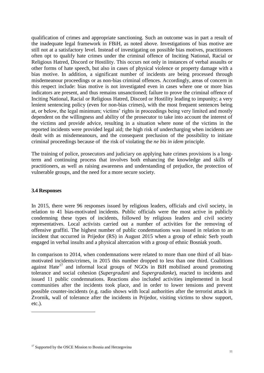qualification of crimes and appropriate sanctioning. Such an outcome was in part a result of the inadequate legal framework in FBiH, as noted above. Investigations of bias motive are still not at a satisfactory level. Instead of investigating on possible bias motives, practitioners often opt to qualify hate crimes under the criminal offence of Inciting National, Racial or Religious Hatred, Discord or Hostility. This occurs not only in instances of verbal assaults or other forms of hate speech, but also in cases of physical violence or property damage with a bias motive. In addition, a significant number of incidents are being processed through misdemeanour proceedings or as non-bias criminal offences. Accordingly, areas of concern in this respect include: bias motive is not investigated even in cases where one or more bias indicators are present, and thus remains unsanctioned; failure to prove the criminal offence of Inciting National, Racial or Religious Hatred, Discord or Hostility leading to impunity; a very lenient sentencing policy (even for non-bias crimes), with the most frequent sentences being at, or below, the legal minimum; victims' rights in proceedings being very limited and mostly dependent on the willingness and ability of the prosecutor to take into account the interest of the victims and provide advice, resulting in a situation where none of the victims in the reported incidents were provided legal aid; the high risk of undercharging when incidents are dealt with as misdemeanours, and the consequent preclusion of the possibility to initiate criminal proceedings because of the risk of violating the *ne bis in idem* principle.

The training of police, prosecutors and judiciary on applying hate crimes provisions is a longterm and continuing process that involves both enhancing the knowledge and skills of practitioners, as well as raising awareness and understanding of prejudice, the protection of vulnerable groups, and the need for a more secure society.

#### <span id="page-10-0"></span>**3.4 Responses**

 $\overline{a}$ 

In 2015, there were 96 responses issued by religious leaders, officials and civil society, in relation to 41 bias-motivated incidents. Public officials were the most active in publicly condemning these types of incidents, followed by religious leaders and civil society representatives. Local activists carried out a number of activities for the removing of offensive graffiti. The highest number of public condemnations was issued in relation to an incident that occurred in Prijedor (RS) in August 2015 when a group of ethnic Serb youth engaged in verbal insults and a physical altercation with a group of ethnic Bosniak youth.

In comparison to 2014, when condemnations were related to more than one third of all biasmotivated incidents/crimes, in 2015 this number dropped to less than one third. Coalitions against Hate<sup>17</sup> and informal local groups of NGOs in BiH mobilised around promoting tolerance and social cohesion (*Supergrađani* and *Supergrađanke*), reacted to incidents and issued 11 public condemnations. Reactions also included activities implemented in local communities after the incidents took place, and in order to lower tensions and prevent possible counter-incidents (e.g. radio shows with local authorities after the terrorist attack in Zvornik, wall of tolerance after the incidents in Prijedor, visiting victims to show support, etc.).

<sup>&</sup>lt;sup>17</sup> Supported by the OSCE Mission to Bosnia and Herzegovina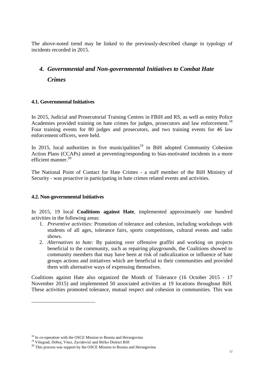The above-noted trend may be linked to the previously-described change in typology of incidents recorded in 2015.

# <span id="page-11-0"></span>*4. Governmental and Non-governmental Initiatives to Combat Hate Crimes*

## <span id="page-11-1"></span>**4.1. Governmental Initiatives**

In 2015, Judicial and Prosecutorial Training Centres in FBiH and RS, as well as entity Police Academies provided training on hate crimes for judges, prosecutors and law enforcement.<sup>18</sup> Four training events for 80 judges and prosecutors, and two training events for 46 law enforcement officers, were held.

In 2015, local authorities in five municipalities<sup>19</sup> in BiH adopted Community Cohesion Action Plans (CCAPs) aimed at preventing/responding to bias-motivated incidents in a more efficient manner.<sup>20</sup>

The National Point of Contact for Hate Crimes - a staff member of the BiH Ministry of Security - was proactive in participating in hate crimes related events and activities.

#### <span id="page-11-2"></span>**4.2. Non-governmental Initiatives**

In 2015, 19 local **Coalitions against Hate**, implemented approximately one hundred activities in the following areas:

- 1. *Preventive activities:* Promotion of tolerance and cohesion, including workshops with students of all ages, tolerance fairs, sports competitions, cultural events and radio shows.
- 2. *Alternatives to hate:* By painting over offensive graffiti and working on projects beneficial to the community, such as repairing playgrounds, the Coalitions showed to community members that may have been at risk of radicalization or influence of hate groups actions and initiatives which are beneficial to their communities and provided them with alternative ways of expressing themselves.

Coalitions against Hate also organized the Month of Tolerance (16 October 2015 - 17 November 2015) and implemented 50 associated activities at 19 locations throughout BiH. These activities promoted tolerance, mutual respect and cohesion in communities. This was

<sup>19</sup> Višegrad, Doboj, Vitez, Zavidovići and Brčko District BiH

<sup>&</sup>lt;sup>18</sup> In co-operation with the OSCE Mission to Bosnia and Herzegovina

<sup>&</sup>lt;sup>20</sup> This process was support by the OSCE Mission to Bosnia and Herzegovina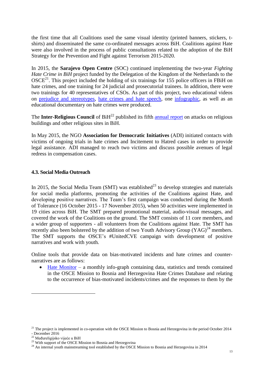the first time that all Coalitions used the same visual identity (printed banners, stickers, tshirts) and disseminated the same co-ordinated messages across BiH. Coalitions against Hate were also involved in the process of public consultations related to the adoption of the BiH Strategy for the Prevention and Fight against Terrorism 2015-2020.

In 2015, the **Sarajevo Open Centre** (SOC) continued implementing the two-year *Fighting Hate Crime in BiH* project funded by the Delegation of the Kingdom of the Netherlands to the  $OSCE<sup>21</sup>$ . This project included the holding of six trainings for 155 police officers in FBiH on hate crimes, and one training for 24 judicial and prosecutorial trainees. In addition, there were two trainings for 40 representatives of CSOs. As part of this project, two educational videos on [prejudice and stereotypes,](http://soc.ba/video-predrasude-i-stereotipi/) [hate crimes and hate speech,](http://soc.ba/video-krivicna-djela-pocinjena-iz-mrznje-i-govor-mrznje/) one [infographic,](http://soc.ba/infografika-krivicna-djela-pocinjena-iz-mrznje-u-bih/) as well as an educational documentary on hate crimes were produced.

The **Inter-Religious Council** of BiH<sup>22</sup> published its fifth **[annual report](http://www.mrv.ba/images/stories/english%20-%20izvjestaj%20zastita%20svetih%20mjesta_feb.pdf)** on attacks on religious buildings and other religious sites in BiH.

In May 2015, the NGO **Association for Democratic Initiatives** (ADI) initiated contacts with victims of ongoing trials in hate crimes and Incitement to Hatred cases in order to provide legal assistance. ADI managed to reach two victims and discuss possible avenues of legal redress in compensation cases.

## <span id="page-12-0"></span>**4.3. Social Media Outreach**

In 2015, the Social Media Team (SMT) was established<sup>23</sup> to develop strategies and materials for social media platforms, promoting the activities of the Coalitions against Hate, and developing positive narratives. The Team's first campaign was conducted during the Month of Tolerance (16 October 2015 - 17 November 2015), when 50 activities were implemented in 19 cities across BiH. The SMT prepared promotional material, audio-visual messages, and covered the work of the Coalitions on the ground. The SMT consists of 11 core members, and a wider group of supporters - all volunteers from the Coalitions against Hate. The SMT has recently also been bolstered by the addition of two Youth Advisory Group  $(YAG)^{24}$  members. The SMT supports the OSCE's #UnitedCVE campaign with development of positive narratives and work with youth.

Online tools that provide data on bias-motivated incidents and hate crimes and counternarratives are as follows:

[Hate Monitor](http://www.osce.org/hatemonitorbih) – a monthly info-graph containing data, statistics and trends contained in the OSCE Mission to Bosnia and Herzegovina Hate Crimes Database and relating to the occurrence of bias-motivated incidents/crimes and the responses to them by the

 $21$  The project is implemented in co-operation with the OSCE Mission to Bosnia and Herzegovina in the period October 2014 - December 2016

<sup>&</sup>lt;sup>22</sup> Međureligijsko vijeće u BiH

<sup>&</sup>lt;sup>23</sup> With support of the OSCE Mission to Bosnia and Herzegovina

<sup>&</sup>lt;sup>24</sup> An internal youth mainstreaming tool established by the OSCE Mission to Bosnia and Herzegovina in 2014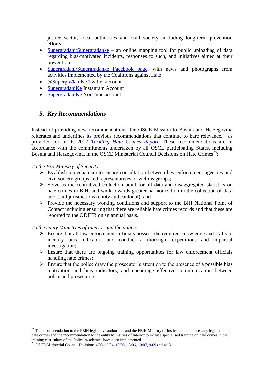justice sector, local authorities and civil society, including long-term prevention efforts.

- [Supergrađani/Supergrađanke](http://www.supergradjani.ba/reports) an online mapping tool for public uploading of data regarding bias-motivated incidents, responses to such, and initiatives aimed at their prevention.
- [Supergrađani/Supergrađanke Facebook](https://www.facebook.com/SuperGradjaniKe/) page, with news and photographs from activities implemented by the Coalitions against Hate
- [@SupergrađaniKe](https://twitter.com/SuperGradjaniKe) Twitter account
- [SupergrađaniKe](https://www.instagram.com/p/BEdqwlDGRk0/?taken-by=supergradjani_ke) Instagram Account
- [SupergrađaniKe](https://www.youtube.com/channel/UC7FuE0IQfopTsia8u0mlxtA) YouTube account

# <span id="page-13-0"></span>*5. Key Recommendations*

Instead of providing new recommendations, the OSCE Mission to Bosnia and Herzegovina reiterates and underlines its previous recommendations that continue to bare relevance,  $25$  as provided for in its 2012 *[Tackling Hate Crimes Report.](https://www.osce.org/bih/107255?download=true)* These recommendations are in accordance with the commitments undertaken by all OSCE participating States, including Bosnia and Herzegovina, in the OSCE Ministerial Council Decisions on Hate Crimes<sup>26</sup>:

*To the BiH Ministry of Security:*

 $\overline{a}$ 

- $\triangleright$  Establish a mechanism to ensure consultation between law enforcement agencies and civil society groups and representatives of victims groups;
- $\triangleright$  Serve as the centralized collection point for all data and disaggregated statistics on hate crimes in BiH, and work towards greater harmonization in the collection of data across all jurisdictions (entity and cantonal); and
- $\triangleright$  Provide the necessary working conditions and support to the BiH National Point of Contact including ensuring that there are reliable hate crimes records and that these are reported to the ODIHR on an annual basis.

#### *To the entity Ministries of Interior and the police:*

- $\triangleright$  Ensure that all law enforcement officials possess the required knowledge and skills to identify bias indicators and conduct a thorough, expeditious and impartial investigation;
- $\triangleright$  Ensure that there are ongoing training opportunities for law enforcement officials handling hate crimes;
- $\triangleright$  Ensure that the police draw the prosecutor's attention to the presence of a possible bias motivation and bias indicators, and encourage effective communication between police and prosecutors;

 $25$  The recommendation to the FBiH legislative authorities and the FBiH Ministry of Justice to adopt necessary legislation on hate crimes and the recommendation to the entity Ministries of Interior to include specialised training on hate crimes in the training curriculum of the Police Academies have been implemented

<sup>&</sup>lt;sup>26</sup> OSCE Ministerial Council Decisions  $\frac{4}{03}$ ,  $\frac{12}{04}$ ,  $\frac{10}{05}$ ,  $\frac{13}{06}$ ,  $\frac{10}{07}$ ,  $\frac{9}{09}$  and  $\frac{4}{13}$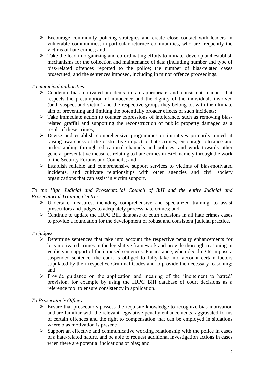- Encourage community policing strategies and create close contact with leaders in vulnerable communities, in particular returnee communities, who are frequently the victims of hate crimes; and
- $\triangleright$  Take the lead in organizing and co-ordinating efforts to initiate, develop and establish mechanisms for the collection and maintenance of data (including number and type of bias-related offences reported to the police; the number of bias-related cases prosecuted; and the sentences imposed, including in minor offence proceedings.

# *To municipal authorities:*

- $\triangleright$  Condemn bias-motivated incidents in an appropriate and consistent manner that respects the presumption of innocence and the dignity of the individuals involved (both suspect and victim) and the respective groups they belong to, with the ultimate aim of preventing and limiting the potentially broader effects of such incidents;
- $\triangleright$  Take immediate action to counter expressions of intolerance, such as removing biasrelated graffiti and supporting the reconstruction of public property damaged as a result of these crimes;
- Devise and establish comprehensive programmes or initiatives primarily aimed at raising awareness of the destructive impact of hate crimes; encourage tolerance and understanding through educational channels and policies; and work towards other general preventative measures relating to hate crimes in BiH, namely through the work of the Security Forums and Councils; and
- Establish reliable and comprehensive support services to victims of bias-motivated incidents, and cultivate relationships with other agencies and civil society organizations that can assist in victim support.

# *To the High Judicial and Prosecutorial Council of BiH and the entity Judicial and Prosecutorial Training Centres:*

- $\triangleright$  Undertake measures, including comprehensive and specialized training, to assist prosecutors and judges to adequately process hate crimes; and
- $\triangleright$  Continue to update the HJPC BiH database of court decisions in all hate crimes cases to provide a foundation for the development of robust and consistent judicial practice.

# *To judges:*

- $\triangleright$  Determine sentences that take into account the respective penalty enhancements for bias-motivated crimes in the legislative framework and provide thorough reasoning in verdicts in support of the imposed sentences. For instance, when deciding to impose a suspended sentence, the court is obliged to fully take into account certain factors stipulated by their respective Criminal Codes and to provide the necessary reasoning; and
- $\triangleright$  Provide guidance on the application and meaning of the 'incitement to hatred' provision, for example by using the HJPC BiH database of court decisions as a reference tool to ensure consistency in application.

# *To Prosecutor's Offices:*

- $\triangleright$  Ensure that prosecutors possess the requisite knowledge to recognize bias motivation and are familiar with the relevant legislative penalty enhancements, aggravated forms of certain offences and the right to compensation that can be employed in situations where bias motivation is present;
- $\triangleright$  Support an effective and communicative working relationship with the police in cases of a hate-related nature, and be able to request additional investigation actions in cases when there are potential indications of bias; and